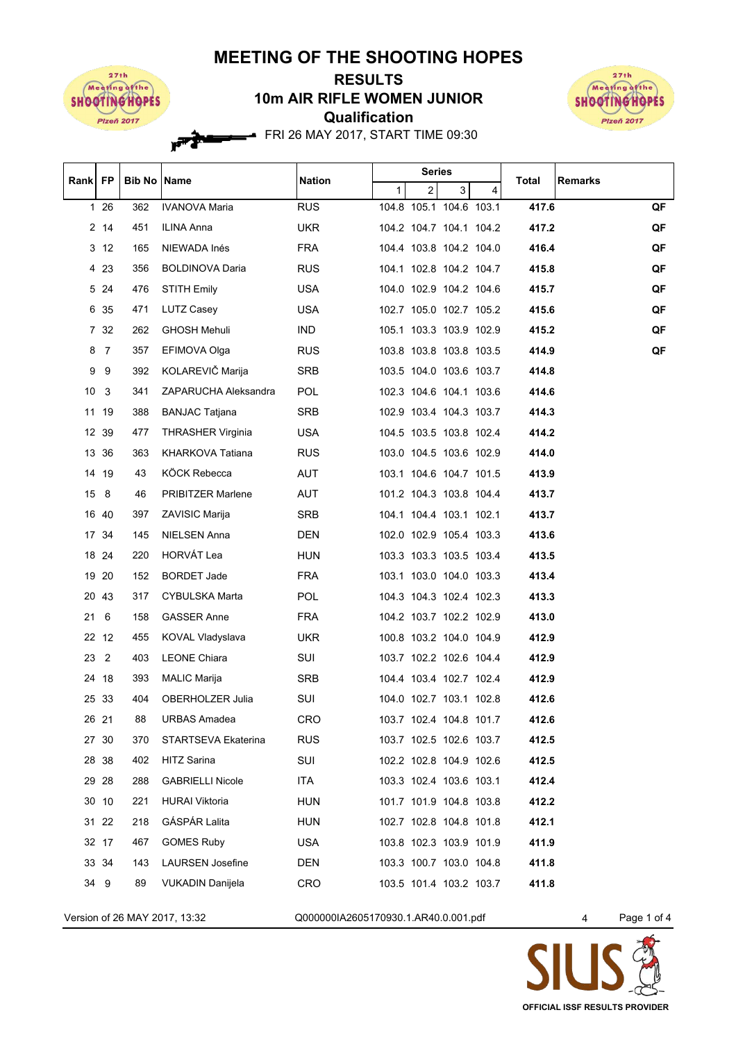## **MEETING OF THE SHOOTING HOPES**



## **Qualification 10m AIR RIFLE WOMEN JUNIOR RESULTS**



FRI 26 MAY 2017, START TIME 09:30

| Rank FP |                 | <b>Bib No Name</b> |                          | <b>Nation</b> |   | <b>Series</b>  |                         |   | Total | <b>Remarks</b> |
|---------|-----------------|--------------------|--------------------------|---------------|---|----------------|-------------------------|---|-------|----------------|
|         |                 |                    |                          |               | 1 | $\overline{2}$ | 3                       | 4 |       |                |
|         | 1 26            | 362                | <b>IVANOVA Maria</b>     | <b>RUS</b>    |   |                | 104.8 105.1 104.6 103.1 |   | 417.6 | QF             |
|         | $2 \t14$        | 451                | ILINA Anna               | <b>UKR</b>    |   |                | 104.2 104.7 104.1 104.2 |   | 417.2 | QF             |
|         | 3 <sub>12</sub> | 165                | NIEWADA Inés             | <b>FRA</b>    |   |                | 104.4 103.8 104.2 104.0 |   | 416.4 | QF             |
|         | 4 2 3           | 356                | <b>BOLDINOVA Daria</b>   | <b>RUS</b>    |   |                | 104.1 102.8 104.2 104.7 |   | 415.8 | QF             |
|         | 5 24            | 476                | STITH Emily              | <b>USA</b>    |   |                | 104.0 102.9 104.2 104.6 |   | 415.7 | QF             |
|         | 6 35            | 471                | LUTZ Casey               | USA.          |   |                | 102.7 105.0 102.7 105.2 |   | 415.6 | QF             |
|         | 7 32            | 262                | <b>GHOSH Mehuli</b>      | <b>IND</b>    |   |                | 105.1 103.3 103.9 102.9 |   | 415.2 | QF             |
| 8       | 7               | 357                | EFIMOVA Olga             | <b>RUS</b>    |   |                | 103.8 103.8 103.8 103.5 |   | 414.9 | QF             |
| 9       | 9               | 392                | KOLAREVIČ Marija         | SRB           |   |                | 103.5 104.0 103.6 103.7 |   | 414.8 |                |
|         | 10 <sup>3</sup> | 341                | ZAPARUCHA Aleksandra     | <b>POL</b>    |   |                | 102.3 104.6 104.1 103.6 |   | 414.6 |                |
|         | 11 19           | 388                | <b>BANJAC Tatjana</b>    | SRB           |   |                | 102.9 103.4 104.3 103.7 |   | 414.3 |                |
|         | 12 39           | 477                | <b>THRASHER Virginia</b> | <b>USA</b>    |   |                | 104.5 103.5 103.8 102.4 |   | 414.2 |                |
|         | 13 36           | 363                | <b>KHARKOVA Tatiana</b>  | <b>RUS</b>    |   |                | 103.0 104.5 103.6 102.9 |   | 414.0 |                |
|         | 14 19           | 43                 | KÖCK Rebecca             | AUT           |   |                | 103.1 104.6 104.7 101.5 |   | 413.9 |                |
|         | 15 8            | 46                 | PRIBITZER Marlene        | AUT           |   |                | 101.2 104.3 103.8 104.4 |   | 413.7 |                |
|         | 16 40           | 397                | ZAVISIC Marija           | SRB           |   |                | 104.1 104.4 103.1 102.1 |   | 413.7 |                |
|         | 17 34           | 145                | NIELSEN Anna             | DEN           |   |                | 102.0 102.9 105.4 103.3 |   | 413.6 |                |
|         | 18 24           | 220                | HORVÁT Lea               | <b>HUN</b>    |   |                | 103.3 103.3 103.5 103.4 |   | 413.5 |                |
|         | 19 20           | 152                | BORDET Jade              | <b>FRA</b>    |   |                | 103.1 103.0 104.0 103.3 |   | 413.4 |                |
|         | 20 43           | 317                | CYBULSKA Marta           | POL           |   |                | 104.3 104.3 102.4 102.3 |   | 413.3 |                |
| 21      | 6               | 158                | <b>GASSER Anne</b>       | <b>FRA</b>    |   |                | 104.2 103.7 102.2 102.9 |   | 413.0 |                |
|         | 22 12           | 455                | KOVAL Vladyslava         | <b>UKR</b>    |   |                | 100.8 103.2 104.0 104.9 |   | 412.9 |                |
|         | 23 2            | 403                | <b>LEONE Chiara</b>      | SUI           |   |                | 103.7 102.2 102.6 104.4 |   | 412.9 |                |
|         | 24 18           | 393                | <b>MALIC Marija</b>      | SRB           |   |                | 104.4 103.4 102.7 102.4 |   | 412.9 |                |
|         | 25 33           | 404                | OBERHOLZER Julia         | SUI           |   |                | 104.0 102.7 103.1 102.8 |   | 412.6 |                |
|         | 26 21           | 88                 | URBAS Amadea             | CRO.          |   |                | 103.7 102.4 104.8 101.7 |   | 412.6 |                |
|         | 27 30           | 370                | STARTSEVA Ekaterina      | <b>RUS</b>    |   |                | 103.7 102.5 102.6 103.7 |   | 412.5 |                |
|         | 28 38           | 402                | HITZ Sarina              | SUI           |   |                | 102.2 102.8 104.9 102.6 |   | 412.5 |                |
|         | 29 28           | 288                | <b>GABRIELLI Nicole</b>  | ITA           |   |                | 103.3 102.4 103.6 103.1 |   | 412.4 |                |
|         | 30 10           | 221                | <b>HURAI Viktoria</b>    | <b>HUN</b>    |   |                | 101.7 101.9 104.8 103.8 |   | 412.2 |                |
|         | 31 22           | 218                | GÁSPÁR Lalita            | <b>HUN</b>    |   |                | 102.7 102.8 104.8 101.8 |   | 412.1 |                |
|         | 32 17           | 467                | <b>GOMES Ruby</b>        | USA.          |   |                | 103.8 102.3 103.9 101.9 |   | 411.9 |                |
|         | 33 34           | 143                | <b>LAURSEN Josefine</b>  | DEN           |   |                | 103.3 100.7 103.0 104.8 |   | 411.8 |                |
|         | 34 9            | 89                 | VUKADIN Danijela         | <b>CRO</b>    |   |                | 103.5 101.4 103.2 103.7 |   | 411.8 |                |
|         |                 |                    |                          |               |   |                |                         |   |       |                |

Version of 26 MAY 2017, 13:32 Q000000IA2605170930.1.AR40.0.001.pdf 4 Page 1 of 4



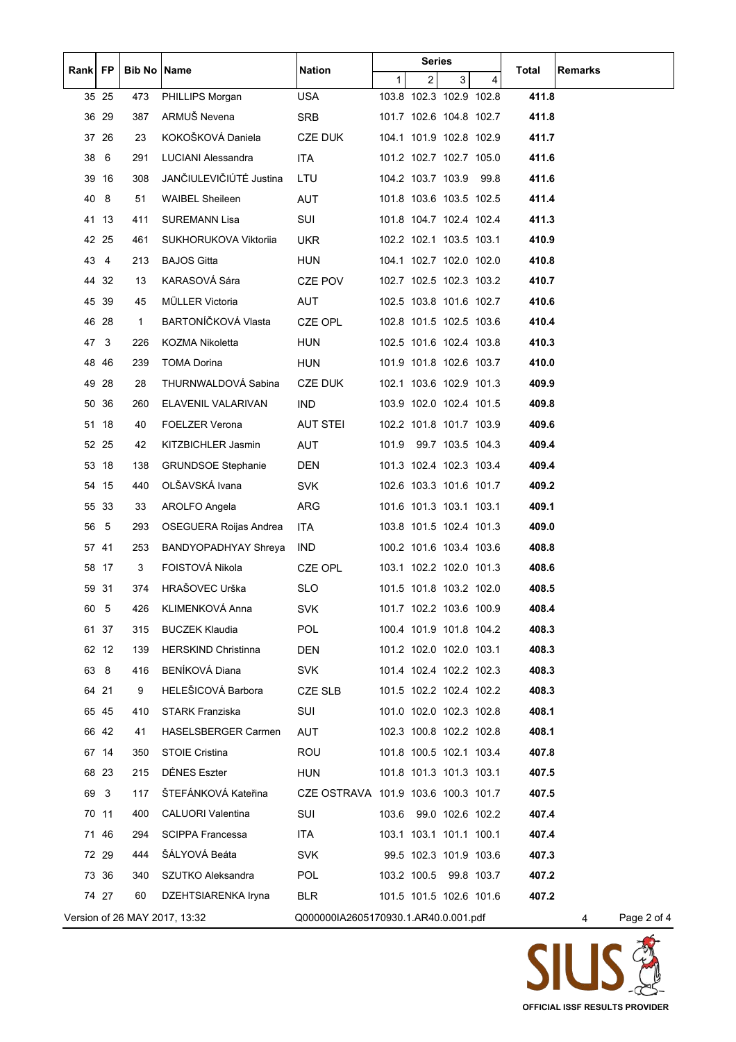| Rank FP |                | <b>Bib No Name</b> |                             | <b>Nation</b>                       |                                                                                           | <b>Series</b>           |                |   | Total | <b>Remarks</b> |  |  |  |
|---------|----------------|--------------------|-----------------------------|-------------------------------------|-------------------------------------------------------------------------------------------|-------------------------|----------------|---|-------|----------------|--|--|--|
|         |                |                    |                             |                                     | $\mathbf{1}$                                                                              | $\overline{2}$          | 3 <sup>1</sup> | 4 |       |                |  |  |  |
|         | 35 25          | 473                | PHILLIPS Morgan             | <b>USA</b>                          |                                                                                           | 103.8 102.3 102.9 102.8 |                |   | 411.8 |                |  |  |  |
|         | 36 29          | 387                | ARMUŠ Nevena                | <b>SRB</b>                          |                                                                                           | 101.7 102.6 104.8 102.7 |                |   | 411.8 |                |  |  |  |
|         | 37 26          | 23                 | KOKOŠKOVÁ Daniela           | <b>CZE DUK</b>                      |                                                                                           | 104.1 101.9 102.8 102.9 |                |   | 411.7 |                |  |  |  |
|         | 38 6           | 291                | LUCIANI Alessandra          | <b>ITA</b>                          |                                                                                           | 101.2 102.7 102.7 105.0 |                |   | 411.6 |                |  |  |  |
|         | 39 16          | 308                | JANČIULEVIČIÚTÉ Justina     | LTU                                 |                                                                                           | 104.2 103.7 103.9 99.8  |                |   | 411.6 |                |  |  |  |
| 40      | 8              | 51                 | <b>WAIBEL Sheileen</b>      | <b>AUT</b>                          |                                                                                           | 101.8 103.6 103.5 102.5 |                |   | 411.4 |                |  |  |  |
|         | 41 13          | 411                | <b>SUREMANN Lisa</b>        | SUI                                 |                                                                                           | 101.8 104.7 102.4 102.4 |                |   | 411.3 |                |  |  |  |
|         | 42 25          | 461                | SUKHORUKOVA Viktorija       | UKR.                                |                                                                                           | 102.2 102.1 103.5 103.1 |                |   | 410.9 |                |  |  |  |
| 43      | $\overline{4}$ | 213                | <b>BAJOS Gitta</b>          | <b>HUN</b>                          |                                                                                           | 104.1 102.7 102.0 102.0 |                |   | 410.8 |                |  |  |  |
|         | 44 32          | 13                 | KARASOVÁ Sára               | CZE POV                             |                                                                                           | 102.7 102.5 102.3 103.2 |                |   | 410.7 |                |  |  |  |
|         | 45 39          | 45                 | MÜLLER Victoria             | AUT                                 |                                                                                           | 102.5 103.8 101.6 102.7 |                |   | 410.6 |                |  |  |  |
|         | 46 28          | $\mathbf{1}$       | BARTONÍČKOVÁ Vlasta         | CZE OPL                             |                                                                                           | 102.8 101.5 102.5 103.6 |                |   | 410.4 |                |  |  |  |
|         | 47 3           | 226                | KOZMA Nikoletta             | <b>HUN</b>                          |                                                                                           | 102.5 101.6 102.4 103.8 |                |   | 410.3 |                |  |  |  |
|         | 4846           | 239                | <b>TOMA Dorina</b>          | <b>HUN</b>                          |                                                                                           | 101.9 101.8 102.6 103.7 |                |   | 410.0 |                |  |  |  |
|         | 49 28          | 28                 | THURNWALDOVÁ Sabina         | <b>CZE DUK</b>                      |                                                                                           | 102.1 103.6 102.9 101.3 |                |   | 409.9 |                |  |  |  |
|         | 50 36          | 260                | ELAVENIL VALARIVAN          | <b>IND</b>                          |                                                                                           | 103.9 102.0 102.4 101.5 |                |   | 409.8 |                |  |  |  |
|         | 51 18          | 40                 | <b>FOELZER Verona</b>       | <b>AUT STEI</b>                     |                                                                                           | 102.2 101.8 101.7 103.9 |                |   | 409.6 |                |  |  |  |
|         | 52 25          | 42                 | KITZBICHLER Jasmin          | AUT                                 |                                                                                           | 101.9 99.7 103.5 104.3  |                |   | 409.4 |                |  |  |  |
|         | 53 18          | 138                | <b>GRUNDSOE Stephanie</b>   | <b>DEN</b>                          |                                                                                           | 101.3 102.4 102.3 103.4 |                |   | 409.4 |                |  |  |  |
|         | 54 15          | 440                | OLŠAVSKÁ Ivana              | <b>SVK</b>                          |                                                                                           | 102.6 103.3 101.6 101.7 |                |   | 409.2 |                |  |  |  |
|         | 55 33          | 33                 | AROLFO Angela               | ARG                                 |                                                                                           | 101.6 101.3 103.1 103.1 |                |   | 409.1 |                |  |  |  |
| 56      | 5              | 293                | OSEGUERA Roijas Andrea      | <b>ITA</b>                          |                                                                                           | 103.8 101.5 102.4 101.3 |                |   | 409.0 |                |  |  |  |
|         | 57 41          | 253                | <b>BANDYOPADHYAY Shreya</b> | <b>IND</b>                          |                                                                                           | 100.2 101.6 103.4 103.6 |                |   | 408.8 |                |  |  |  |
|         | 58 17          | 3                  | FOISTOVÁ Nikola             | <b>CZE OPL</b>                      |                                                                                           | 103.1 102.2 102.0 101.3 |                |   | 408.6 |                |  |  |  |
|         | 59 31          | 374                | HRAŠOVEC Urška              | <b>SLO</b>                          |                                                                                           | 101.5 101.8 103.2 102.0 |                |   | 408.5 |                |  |  |  |
| 60      | $\sqrt{5}$     | 426                | KLIMENKOVÁ Anna             | <b>SVK</b>                          |                                                                                           | 101.7 102.2 103.6 100.9 |                |   | 408.4 |                |  |  |  |
|         | 61 37          | 315                | <b>BUCZEK Klaudia</b>       | <b>POL</b>                          |                                                                                           | 100.4 101.9 101.8 104.2 |                |   | 408.3 |                |  |  |  |
|         | 62 12          | 139                | <b>HERSKIND Christinna</b>  | DEN                                 |                                                                                           | 101.2 102.0 102.0 103.1 |                |   | 408.3 |                |  |  |  |
|         | 63 8           | 416                | <b>BENÍKOVÁ Diana</b>       | <b>SVK</b>                          |                                                                                           | 101.4 102.4 102.2 102.3 |                |   | 408.3 |                |  |  |  |
|         | 64 21          | 9                  | HELEŠICOVÁ Barbora          | CZE SLB                             |                                                                                           | 101.5 102.2 102.4 102.2 |                |   | 408.3 |                |  |  |  |
|         | 65 45          | 410                | <b>STARK Franziska</b>      | SUI                                 |                                                                                           | 101.0 102.0 102.3 102.8 |                |   | 408.1 |                |  |  |  |
|         | 66 42          | 41                 | HASELSBERGER Carmen         | <b>AUT</b>                          |                                                                                           | 102.3 100.8 102.2 102.8 |                |   | 408.1 |                |  |  |  |
|         | 67 14          | 350                | <b>STOIE Cristina</b>       | <b>ROU</b>                          |                                                                                           | 101.8 100.5 102.1 103.4 |                |   | 407.8 |                |  |  |  |
|         | 68 23          | 215                | DÉNES Eszter                | <b>HUN</b>                          |                                                                                           | 101.8 101.3 101.3 103.1 |                |   | 407.5 |                |  |  |  |
| 69      | 3              | 117                | ŠTEFÁNKOVÁ Kateřina         | CZE OSTRAVA 101.9 103.6 100.3 101.7 |                                                                                           |                         |                |   | 407.5 |                |  |  |  |
|         | 70 11          | 400                | <b>CALUORI Valentina</b>    | SUI                                 |                                                                                           | 103.6 99.0 102.6 102.2  |                |   | 407.4 |                |  |  |  |
|         | 71 46          | 294                | <b>SCIPPA Francessa</b>     | <b>ITA</b>                          |                                                                                           | 103.1 103.1 101.1 100.1 |                |   | 407.4 |                |  |  |  |
|         | 72 29          | 444                | ŠÁLYOVÁ Beáta               | <b>SVK</b>                          |                                                                                           | 99.5 102.3 101.9 103.6  |                |   | 407.3 |                |  |  |  |
|         | 73 36          | 340                | SZUTKO Aleksandra           | <b>POL</b>                          |                                                                                           | 103.2 100.5 99.8 103.7  |                |   | 407.2 |                |  |  |  |
|         | 74 27          | 60                 | DZEHTSIARENKA Iryna         | <b>BLR</b>                          |                                                                                           | 101.5 101.5 102.6 101.6 |                |   | 407.2 |                |  |  |  |
|         |                |                    |                             |                                     |                                                                                           |                         |                |   |       |                |  |  |  |
|         |                |                    |                             |                                     | Version of 26 MAY 2017, 13:32<br>Q000000IA2605170930.1.AR40.0.001.pdf<br>Page 2 of 4<br>4 |                         |                |   |       |                |  |  |  |

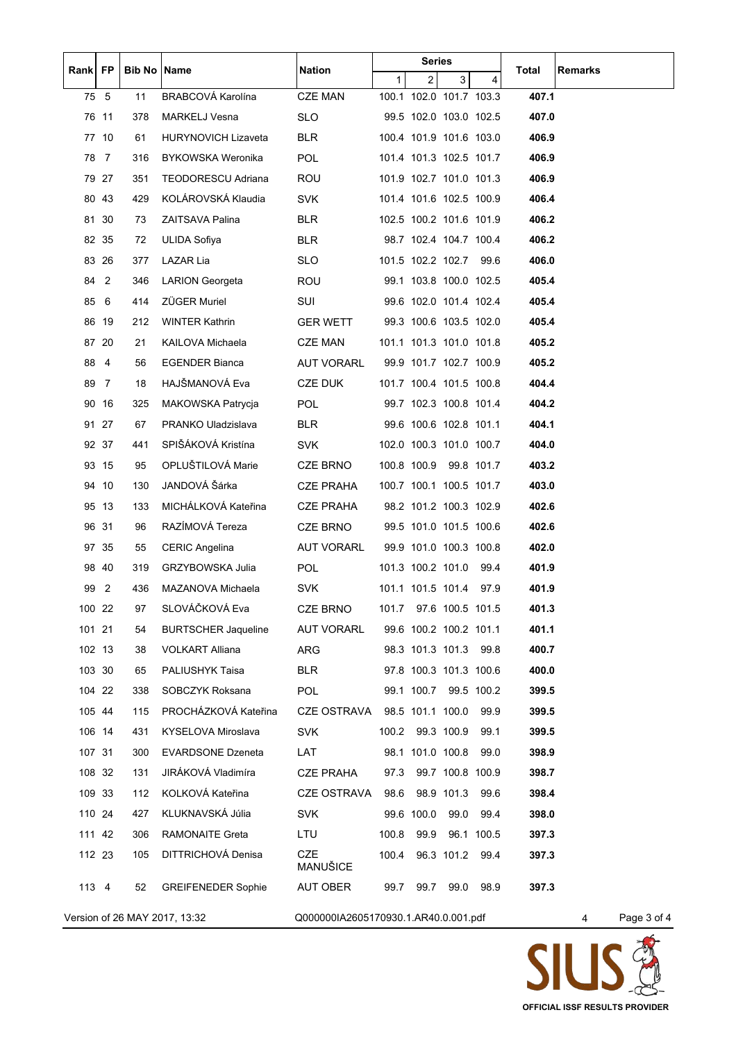| Rank   FP                     |                | <b>Bib No Name</b> |                            | <b>Nation</b>                        |                | <b>Series</b>    |                         |            | Total | <b>Remarks</b>   |
|-------------------------------|----------------|--------------------|----------------------------|--------------------------------------|----------------|------------------|-------------------------|------------|-------|------------------|
|                               |                |                    |                            |                                      | 1 <sup>1</sup> | $\overline{2}$   | 3 <sup>1</sup>          | 4          |       |                  |
| 75 5                          |                | 11                 | BRABCOVÁ Karolína          | <b>CZE MAN</b>                       |                |                  | 100.1 102.0 101.7 103.3 |            | 407.1 |                  |
|                               | 76 11          | 378                | <b>MARKELJ Vesna</b>       | <b>SLO</b>                           |                |                  | 99.5 102.0 103.0 102.5  |            | 407.0 |                  |
|                               | 77 10          | 61                 | <b>HURYNOVICH Lizaveta</b> | <b>BLR</b>                           |                |                  | 100.4 101.9 101.6 103.0 |            | 406.9 |                  |
| 78 7                          |                | 316                | <b>BYKOWSKA Weronika</b>   | <b>POL</b>                           |                |                  | 101.4 101.3 102.5 101.7 |            | 406.9 |                  |
|                               | 79 27          | 351                | TEODORESCU Adriana         | ROU                                  |                |                  | 101.9 102.7 101.0 101.3 |            | 406.9 |                  |
|                               | 80 43          | 429                | KOLÁROVSKÁ Klaudia         | SVK                                  |                |                  | 101.4 101.6 102.5 100.9 |            | 406.4 |                  |
|                               | 81 30          | 73                 | ZAITSAVA Palina            | BLR                                  |                |                  | 102.5 100.2 101.6 101.9 |            | 406.2 |                  |
|                               | 82 35          | 72                 | ULIDA Sofiya               | <b>BLR</b>                           |                |                  | 98.7 102.4 104.7 100.4  |            | 406.2 |                  |
|                               | 83 26          | 377                | LAZAR Lia                  | <b>SLO</b>                           |                |                  | 101.5 102.2 102.7 99.6  |            | 406.0 |                  |
| 84                            | 2              | 346                | <b>LARION Georgeta</b>     | <b>ROU</b>                           |                |                  | 99.1 103.8 100.0 102.5  |            | 405.4 |                  |
| 85                            | 6              | 414                | <b>ZÜGER Muriel</b>        | SUI                                  |                |                  | 99.6 102.0 101.4 102.4  |            | 405.4 |                  |
|                               | 86 19          | 212                | <b>WINTER Kathrin</b>      | <b>GER WETT</b>                      |                |                  | 99.3 100.6 103.5 102.0  |            | 405.4 |                  |
|                               | 87 20          | 21                 | KAILOVA Michaela           | <b>CZE MAN</b>                       |                |                  | 101.1 101.3 101.0 101.8 |            | 405.2 |                  |
| 88                            | $\overline{4}$ | 56                 | EGENDER Bianca             | <b>AUT VORARL</b>                    |                |                  | 99.9 101.7 102.7 100.9  |            | 405.2 |                  |
| 89                            | $\overline{7}$ | 18                 | HAJŠMANOVÁ Eva             | CZE DUK                              |                |                  | 101.7 100.4 101.5 100.8 |            | 404.4 |                  |
|                               | 90 16          | 325                | <b>MAKOWSKA Patrycja</b>   | <b>POL</b>                           |                |                  | 99.7 102.3 100.8 101.4  |            | 404.2 |                  |
|                               | 91 27          | 67                 | PRANKO Uladzislava         | <b>BLR</b>                           |                |                  | 99.6 100.6 102.8 101.1  |            | 404.1 |                  |
|                               | 92 37          | 441                | SPIŠÁKOVÁ Kristína         | <b>SVK</b>                           |                |                  | 102.0 100.3 101.0 100.7 |            | 404.0 |                  |
|                               | 93 15          | 95                 | OPLUŠTILOVÁ Marie          | CZE BRNO                             |                |                  | 100.8 100.9 99.8 101.7  |            | 403.2 |                  |
|                               | 94 10          | 130                | JANDOVÁ Šárka              | <b>CZE PRAHA</b>                     |                |                  | 100.7 100.1 100.5 101.7 |            | 403.0 |                  |
|                               | 95 13          | 133                | MICHÁLKOVÁ Kateřina        | <b>CZE PRAHA</b>                     |                |                  | 98.2 101.2 100.3 102.9  |            | 402.6 |                  |
|                               | 96 31          | 96                 | RAZÍMOVÁ Tereza            | CZE BRNO                             |                |                  | 99.5 101.0 101.5 100.6  |            | 402.6 |                  |
|                               | 97 35          | 55                 | <b>CERIC Angelina</b>      | <b>AUT VORARL</b>                    |                |                  | 99.9 101.0 100.3 100.8  |            | 402.0 |                  |
|                               | 98 40          | 319                | GRZYBOWSKA Julia           | <b>POL</b>                           |                |                  | 101.3 100.2 101.0 99.4  |            | 401.9 |                  |
| 99 2                          |                | 436                | MAZANOVA Michaela          | <b>SVK</b>                           |                |                  | 101.1 101.5 101.4 97.9  |            | 401.9 |                  |
| 100 22                        |                | 97                 | SLOVÁČKOVÁ Eva             | <b>CZE BRNO</b>                      |                |                  | 101.7 97.6 100.5 101.5  |            | 401.3 |                  |
| 101 21                        |                | 54                 | <b>BURTSCHER Jaqueline</b> | <b>AUT VORARL</b>                    |                |                  | 99.6 100.2 100.2 101.1  |            | 401.1 |                  |
| 102 13                        |                | 38                 | <b>VOLKART Alliana</b>     | ARG                                  |                |                  | 98.3 101.3 101.3 99.8   |            | 400.7 |                  |
| 103 30                        |                | 65                 | PALIUSHYK Taisa            | <b>BLR</b>                           |                |                  | 97.8 100.3 101.3 100.6  |            | 400.0 |                  |
| 104 22                        |                | 338                | SOBCZYK Roksana            | <b>POL</b>                           |                |                  | 99.1 100.7 99.5 100.2   |            | 399.5 |                  |
| 105 44                        |                | 115                | PROCHÁZKOVÁ Kateřina       | <b>CZE OSTRAVA</b>                   |                | 98.5 101.1 100.0 |                         | 99.9       | 399.5 |                  |
| 106 14                        |                | 431                | KYSELOVA Miroslava         | <b>SVK</b>                           | 100.2          |                  | 99.3 100.9              | 99.1       | 399.5 |                  |
| 107 31                        |                | 300                | <b>EVARDSONE Dzeneta</b>   | LAT                                  |                | 98.1 101.0 100.8 |                         | 99.0       | 398.9 |                  |
| 108 32                        |                | 131                | JIRÁKOVÁ Vladimíra         | <b>CZE PRAHA</b>                     | 97.3           |                  | 99.7 100.8 100.9        |            | 398.7 |                  |
| 109 33                        |                | 112                | KOLKOVÁ Kateřina           | <b>CZE OSTRAVA</b>                   | 98.6           |                  | 98.9 101.3              | 99.6       | 398.4 |                  |
| 110 24                        |                | 427                | KLUKNAVSKÁ Júlia           | <b>SVK</b>                           |                | 99.6 100.0       | 99.0                    | 99.4       | 398.0 |                  |
| 111 42                        |                | 306                | <b>RAMONAITE Greta</b>     | LTU                                  | 100.8          | 99.9             |                         | 96.1 100.5 | 397.3 |                  |
| 112 23                        |                | 105                | DITTRICHOVÁ Denisa         | <b>CZE</b>                           | 100.4          |                  | 96.3 101.2 99.4         |            | 397.3 |                  |
|                               |                |                    |                            | MANUŠICE                             |                |                  |                         |            |       |                  |
| 113 4                         |                | 52                 | <b>GREIFENEDER Sophie</b>  | <b>AUT OBER</b>                      | 99.7           | 99.7             | 99.0                    | 98.9       | 397.3 |                  |
| Version of 26 MAY 2017, 13:32 |                |                    |                            | Q000000IA2605170930.1.AR40.0.001.pdf |                |                  |                         |            |       | Page 3 of 4<br>4 |